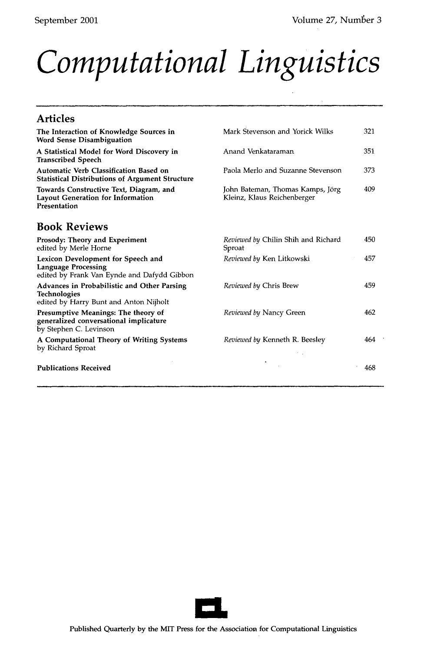## *Computational Linguistics*

| <b>Articles</b>                                                                                                 |                                                                 |     |
|-----------------------------------------------------------------------------------------------------------------|-----------------------------------------------------------------|-----|
| The Interaction of Knowledge Sources in<br><b>Word Sense Disambiguation</b>                                     | Mark Stevenson and Yorick Wilks                                 | 321 |
| A Statistical Model for Word Discovery in<br><b>Transcribed Speech</b>                                          | Anand Venkataraman                                              | 351 |
| Automatic Verb Classification Based on<br><b>Statistical Distributions of Argument Structure</b>                | Paola Merlo and Suzanne Stevenson                               | 373 |
| Towards Constructive Text, Diagram, and<br>Layout Generation for Information<br>Presentation                    | John Bateman, Thomas Kamps, Jörg<br>Kleinz, Klaus Reichenberger | 409 |
| <b>Book Reviews</b>                                                                                             |                                                                 |     |
| Prosody: Theory and Experiment<br>edited by Merle Horne                                                         | Reviewed by Chilin Shih and Richard<br>Sproat                   | 450 |
| Lexicon Development for Speech and<br><b>Language Processing</b><br>edited by Frank Van Eynde and Dafydd Gibbon | Reviewed by Ken Litkowski                                       | 457 |
| Advances in Probabilistic and Other Parsing<br><b>Technologies</b><br>edited by Harry Bunt and Anton Nijholt    | Reviewed by Chris Brew                                          | 459 |
| Presumptive Meanings: The theory of<br>generalized conversational implicature<br>by Stephen C. Levinson         | Reviewed by Nancy Green                                         | 462 |
| A Computational Theory of Writing Systems<br>by Richard Sproat                                                  | Reviewed by Kenneth R. Beesley                                  | 464 |
| <b>Publications Received</b>                                                                                    |                                                                 | 468 |

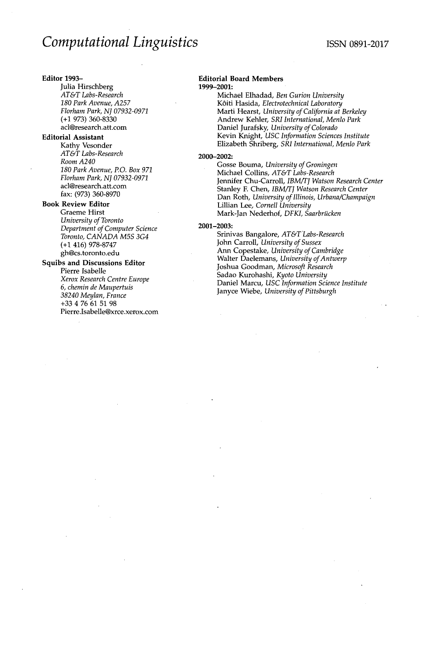#### **Editor** 1993-

Julia Hirschberg *AT&T Labs-Research 180 Park Avenue, A257 Florham Park, NJ 07932-0971*  (+1 973) 360-8330 acl@research.att.com

### **Editorial Assistant**

Kathy Vesonder *AT&T Labs-Research Room A240 180 Park Avenue, P.O. Box 97I Florham Park, NJ 07932-0971*  acl@research.att.com fax: (973) 360-8970

#### **Book Review Editor**

Graeme Hirst *University of Toronto Department of Computer Science Toronto, CANADA M5S 3G4*  (+1 416) 978-8747 gh@cs.toronto.edu

#### **Squibs and Discussions Editor**

Pierre Isabelle *Xerox Research Centre Europe 6, chemin de Maupertuis 38240 Meylan, France*  +33 4 76 61 51 98 Pierre.Isabelle@xrce.xerox.com

#### **Editorial Board Members**  1999-2001:

Michael Elhadad, *Ben Gurion University*  K6iti Hasida, *Electrotechnical Laboratory*  **Marti** Hearst, *University of California at Berkeley*  Andrew Kehler, *SRI International, Menlo Park*  Daniel Jurafsky, *University of Colorado*  Kevin Knight, *USC Information Sciences Institute*  Elizabeth Shriberg, *SRI International, Menlo Park* 

#### 2000-2002:

Gosse Bouma, *University of Groningen*  Michael Collins, *AT&T Labs-Research*  Jennifer Chu-Carroll, *IBM/TJ Watson Research Center*  Stanley E Chen, *IBM/TJ Watson Research Center*  Dan Roth, *University of Illinois, Urbana/Champaign*  Lillian Lee, *Cornell University*  Mark-Jan Nederhof, *DFKI*, Saarbrücken

#### 2001-2003:

Srinivas Bangalore, *AT&TLabs-Research*  John Carroll, *University of Sussex*  Ann Copestake, *University of Cambridge*  Walter Daelemans, *University of Antwerp*  Joshua Goodman, *Microsoft Research*  Sadao Kurohashi, *Kyoto University*  Daniel Marcu, *USC Information Science Institute*  Janyce Wiebe, *University of Pittsburgh*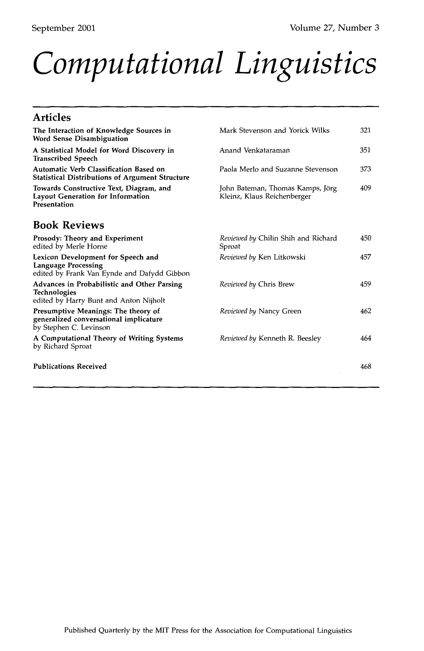# *Computational Linguistics*

### **Articles**

| The Interaction of Knowledge Sources in<br><b>Word Sense Disambiguation</b>                                     | Mark Stevenson and Yorick Wilks                                 | 321 |
|-----------------------------------------------------------------------------------------------------------------|-----------------------------------------------------------------|-----|
| A Statistical Model for Word Discovery in<br><b>Transcribed Speech</b>                                          | Anand Venkataraman                                              | 351 |
| Automatic Verb Classification Based on<br><b>Statistical Distributions of Argument Structure</b>                | Paola Merlo and Suzanne Stevenson                               | 373 |
| Towards Constructive Text, Diagram, and<br><b>Layout Generation for Information</b><br>Presentation             | John Bateman, Thomas Kamps, Jörg<br>Kleinz, Klaus Reichenberger | 409 |
| <b>Book Reviews</b>                                                                                             |                                                                 |     |
| Prosody: Theory and Experiment<br>edited by Merle Horne                                                         | Reviewed by Chilin Shih and Richard<br>Sproat                   | 450 |
| Lexicon Development for Speech and<br><b>Language Processing</b><br>edited by Frank Van Eynde and Dafydd Gibbon | Reviewed by Ken Litkowski                                       | 457 |
| Advances in Probabilistic and Other Parsing<br><b>Technologies</b><br>edited by Harry Bunt and Anton Nijholt    | Reviewed by Chris Brew                                          | 459 |
| Presumptive Meanings: The theory of<br>generalized conversational implicature<br>by Stephen C. Levinson         | Reviewed by Nancy Green                                         | 462 |
| A Computational Theory of Writing Systems<br>by Richard Sproat                                                  | Reviewed by Kenneth R. Beesley                                  | 464 |
| <b>Publications Received</b>                                                                                    |                                                                 | 468 |